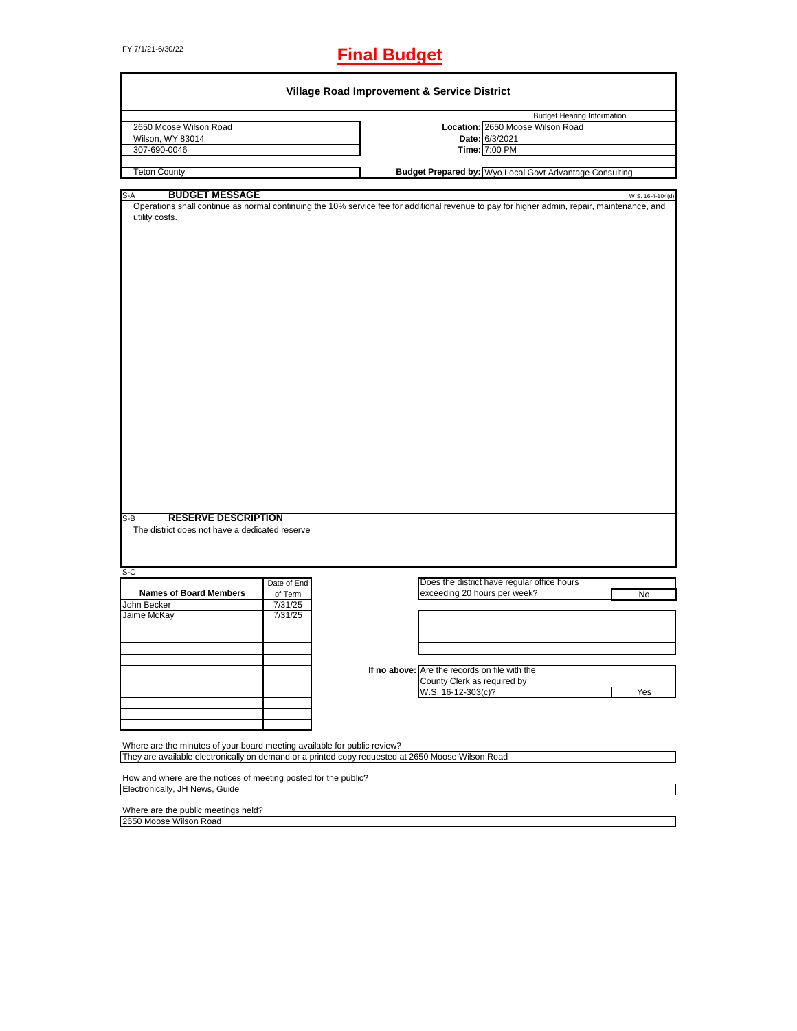# FY 7/1/21-6/30/22 **Final Budget**

|                                                                                                   |             | Village Road Improvement & Service District                                                                                                                     |
|---------------------------------------------------------------------------------------------------|-------------|-----------------------------------------------------------------------------------------------------------------------------------------------------------------|
|                                                                                                   |             | <b>Budget Hearing Information</b>                                                                                                                               |
| 2650 Moose Wilson Road                                                                            |             | Location: 2650 Moose Wilson Road                                                                                                                                |
| Wilson, WY 83014                                                                                  |             | Date: 6/3/2021                                                                                                                                                  |
| 307-690-0046                                                                                      |             | Time: 7:00 PM                                                                                                                                                   |
|                                                                                                   |             |                                                                                                                                                                 |
| <b>Teton County</b>                                                                               |             | Budget Prepared by: Wyo Local Govt Advantage Consulting                                                                                                         |
|                                                                                                   |             |                                                                                                                                                                 |
| <b>BUDGET MESSAGE</b><br>$S-A$<br>utility costs.                                                  |             | W.S. 16-4-104(d)<br>Operations shall continue as normal continuing the 10% service fee for additional revenue to pay for higher admin, repair, maintenance, and |
|                                                                                                   |             |                                                                                                                                                                 |
| <b>RESERVE DESCRIPTION</b><br>S-B                                                                 |             |                                                                                                                                                                 |
| The district does not have a dedicated reserve                                                    |             |                                                                                                                                                                 |
| $S-C$                                                                                             |             |                                                                                                                                                                 |
|                                                                                                   | Date of End | Does the district have regular office hours                                                                                                                     |
| <b>Names of Board Members</b>                                                                     | of Term     | exceeding 20 hours per week?<br>No                                                                                                                              |
| John Becker                                                                                       | 7/31/25     |                                                                                                                                                                 |
| Jaime McKay                                                                                       | 7/31/25     |                                                                                                                                                                 |
|                                                                                                   |             |                                                                                                                                                                 |
|                                                                                                   |             |                                                                                                                                                                 |
|                                                                                                   |             |                                                                                                                                                                 |
|                                                                                                   |             | If no above: Are the records on file with the                                                                                                                   |
|                                                                                                   |             | County Clerk as required by                                                                                                                                     |
|                                                                                                   |             | W.S. 16-12-303(c)?                                                                                                                                              |
|                                                                                                   |             | Yes                                                                                                                                                             |
|                                                                                                   |             |                                                                                                                                                                 |
|                                                                                                   |             |                                                                                                                                                                 |
|                                                                                                   |             |                                                                                                                                                                 |
| Where are the minutes of your board meeting available for public review?                          |             |                                                                                                                                                                 |
|                                                                                                   |             | They are available electronically on demand or a printed copy requested at 2650 Moose Wilson Road                                                               |
|                                                                                                   |             |                                                                                                                                                                 |
| How and where are the notices of meeting posted for the public?<br>Electronically, JH News, Guide |             |                                                                                                                                                                 |
|                                                                                                   |             |                                                                                                                                                                 |
| Where are the public meetings held?                                                               |             |                                                                                                                                                                 |
| 2650 Moose Wilson Road                                                                            |             |                                                                                                                                                                 |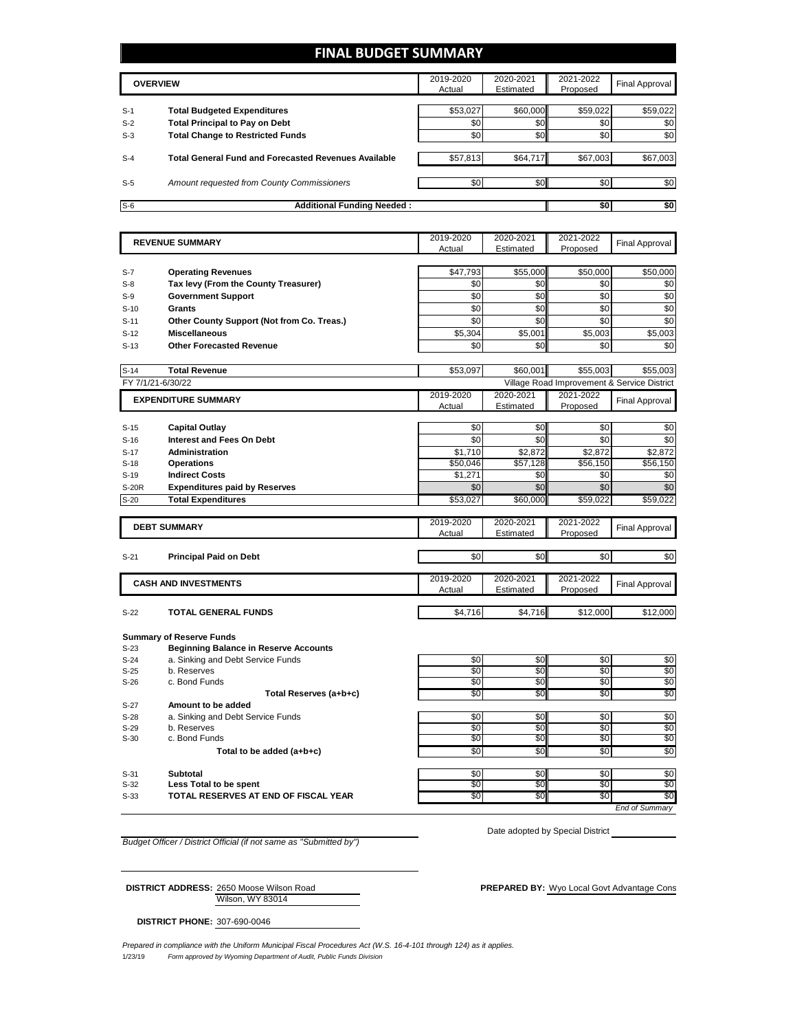### **FINAL BUDGET SUMMARY**

|       | <b>OVERVIEW</b>                                             | 2019-2020<br>Actual | 2020-2021<br>Estimated | 2021-2022<br>Proposed | <b>Final Approval</b> |
|-------|-------------------------------------------------------------|---------------------|------------------------|-----------------------|-----------------------|
|       |                                                             |                     |                        |                       |                       |
| $S-1$ | <b>Total Budgeted Expenditures</b>                          | \$53,027            | \$60,000               | \$59,022              | \$59,022              |
| $S-2$ | <b>Total Principal to Pay on Debt</b>                       | \$0                 | \$0                    | \$0                   | \$0                   |
| $S-3$ | <b>Total Change to Restricted Funds</b>                     | \$0                 | \$0                    | \$0                   | \$0                   |
| $S-4$ | <b>Total General Fund and Forecasted Revenues Available</b> | \$57,813            | \$64,717               | \$67.003              | \$67,003              |
| $S-5$ | <b>Amount requested from County Commissioners</b>           | \$0                 | \$0                    | \$0                   | \$0                   |
| $S-6$ | <b>Additional Funding Needed:</b>                           |                     |                        | \$0                   | \$0                   |

| <b>REVENUE SUMMARY</b> |                                              | 2019-2020 | 2020-2021     | 2021-2022 | <b>Final Approval</b>                       |
|------------------------|----------------------------------------------|-----------|---------------|-----------|---------------------------------------------|
|                        |                                              |           | Estimated     | Proposed  |                                             |
|                        |                                              |           |               |           |                                             |
| $S-7$                  | <b>Operating Revenues</b>                    | \$47,793  | \$55,000      | \$50,000  | \$50.000                                    |
| $S-8$                  | Tax levy (From the County Treasurer)         | \$0       | \$0           | \$0       | \$0                                         |
| $S-9$                  | <b>Government Support</b>                    | \$0       | \$0           | \$0       | \$0                                         |
| $S-10$                 | <b>Grants</b>                                | \$0       | \$0           | \$0       | \$0                                         |
| $S-11$                 | Other County Support (Not from Co. Treas.)   | \$0       | \$0           | \$0       | \$0                                         |
| $S-12$                 | <b>Miscellaneous</b>                         | \$5,304   | \$5,001       | \$5,003   | \$5,003                                     |
| $S-13$                 | <b>Other Forecasted Revenue</b>              | \$0       | \$0           | \$0       | \$0                                         |
|                        |                                              |           |               |           |                                             |
| $S-14$                 | <b>Total Revenue</b>                         | \$53,097  | \$60,001      | \$55,003  | \$55,003                                    |
|                        | FY 7/1/21-6/30/22                            |           |               |           | Village Road Improvement & Service District |
|                        | <b>EXPENDITURE SUMMARY</b>                   | 2019-2020 | 2020-2021     | 2021-2022 | <b>Final Approval</b>                       |
|                        |                                              | Actual    | Estimated     | Proposed  |                                             |
|                        |                                              |           |               |           |                                             |
| $S-15$                 | <b>Capital Outlay</b>                        | \$0       | \$0           | \$0       | \$0                                         |
| $S-16$                 | Interest and Fees On Debt                    | \$0       | \$0           | \$0       | \$0                                         |
| $S-17$                 | Administration                               | \$1,710   | \$2,872       | \$2,872   | \$2,872                                     |
| $S-18$                 | <b>Operations</b>                            | \$50,046  | \$57,128      | \$56,150  | \$56,150                                    |
| $S-19$                 | <b>Indirect Costs</b>                        | \$1,271   | \$0           | \$0       | \$0                                         |
| S-20R                  | <b>Expenditures paid by Reserves</b>         | \$0       | \$0           | \$0       | \$0                                         |
| $S-20$                 | <b>Total Expenditures</b>                    | \$53,027  | \$60,000      | \$59,022  | \$59,022                                    |
|                        |                                              |           |               |           |                                             |
|                        | <b>DEBT SUMMARY</b>                          | 2019-2020 | 2020-2021     | 2021-2022 | <b>Final Approval</b>                       |
|                        |                                              | Actual    | Estimated     | Proposed  |                                             |
|                        |                                              | \$0       | \$0           | \$0       |                                             |
| $S-21$                 | <b>Principal Paid on Debt</b>                |           |               |           | \$0                                         |
|                        |                                              | 2019-2020 | 2020-2021     | 2021-2022 |                                             |
|                        | <b>CASH AND INVESTMENTS</b>                  | Actual    | Estimated     | Proposed  | <b>Final Approval</b>                       |
|                        |                                              |           |               |           |                                             |
| $S-22$                 | <b>TOTAL GENERAL FUNDS</b>                   | \$4,716   | \$4,716       | \$12,000  | \$12,000                                    |
|                        |                                              |           |               |           |                                             |
|                        | <b>Summary of Reserve Funds</b>              |           |               |           |                                             |
| $S-23$                 | <b>Beginning Balance in Reserve Accounts</b> |           |               |           |                                             |
| $S-24$                 | a. Sinking and Debt Service Funds            | \$0       | \$0           | \$0       | \$0                                         |
| $S-25$                 | b. Reserves                                  | \$0       | \$O           | \$0       | \$0                                         |
| $S-26$                 | c. Bond Funds                                | \$0       | \$0           | \$0       | \$0                                         |
|                        | Total Reserves (a+b+c)                       | \$0       | \$0           | \$0       | \$0                                         |
| $S-27$                 | Amount to be added                           |           |               |           |                                             |
| $S-28$                 | a. Sinking and Debt Service Funds            | \$0       | $\frac{1}{2}$ | \$0       | \$0                                         |

S-29 b. Reserves \$0 \$0 \$0 \$0

 $S-30$  c. Bond Funds **the added (a+b+c)** c. Bond Funds **be added (a+b+c)**  $\frac{1}{30}$   $\frac{1}{30}$   $\frac{1}{30}$   $\frac{1}{30}$   $\frac{1}{30}$   $\frac{1}{30}$   $\frac{1}{30}$   $\frac{1}{30}$   $\frac{1}{30}$   $\frac{1}{30}$   $\frac{1}{30}$   $\frac{1}{30}$   $\frac{1}{30}$   $\frac{$ Total to be added (a+b+c)

S-31 **Subtotal** \$0 \$0 \$0

S-32 **Less Total to be spent** \$0 \$0 \$0 \$0 S-33 **TOTAL RESERVES AT END OF FISCAL YEAR** 

*End of Summary*

*Budget Officer / District Official (if not same as "Submitted by")*

Date adopted by Special District

Wilson, WY 83014 **DISTRICT ADDRESS:** 2650 Moose Wilson Road **PREPARED BY:** Wyo Local Govt Advantage Cons

**DISTRICT PHONE:** 307-690-0046

1/23/19 *Form approved by Wyoming Department of Audit, Public Funds Division Prepared in compliance with the Uniform Municipal Fiscal Procedures Act (W.S. 16-4-101 through 124) as it applies.*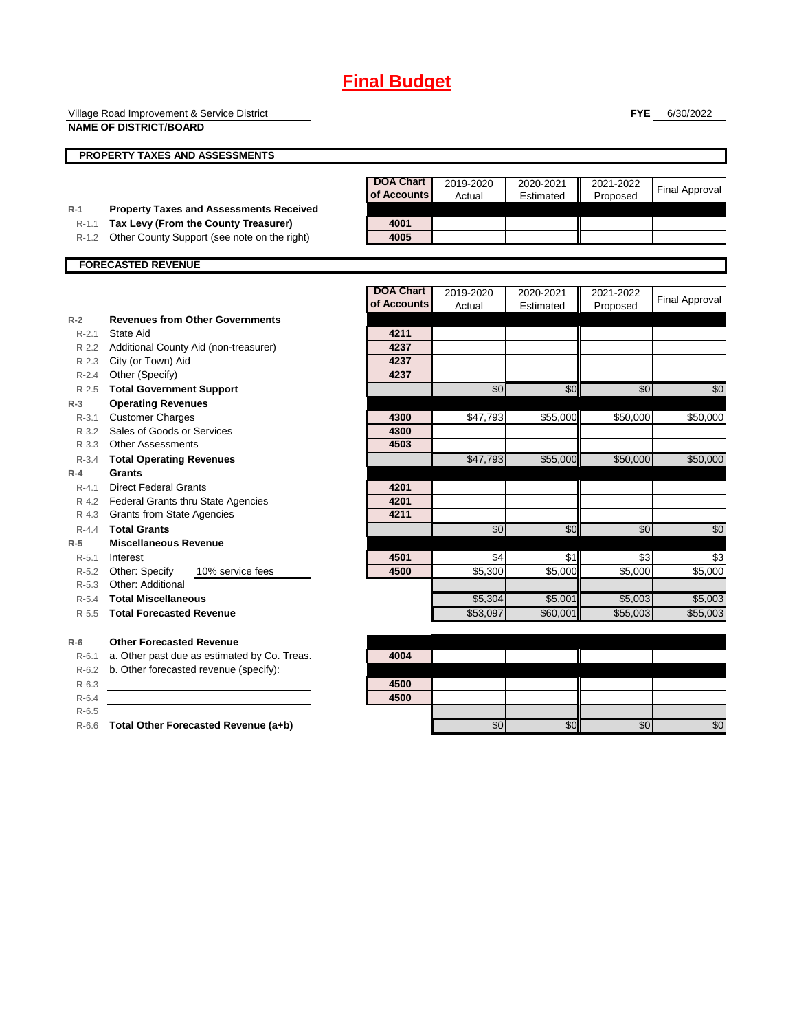Village Road Improvement & Service District **NAME OF DISTRICT/BOARD**

**FYE** 6/30/2022

|           | טוואווטוט וט                                   |                                 |                     |                        |                       |                       |
|-----------|------------------------------------------------|---------------------------------|---------------------|------------------------|-----------------------|-----------------------|
|           | <b>PROPERTY TAXES AND ASSESSMENTS</b>          |                                 |                     |                        |                       |                       |
|           |                                                | <b>DOA Chart</b><br>of Accounts | 2019-2020<br>Actual | 2020-2021<br>Estimated | 2021-2022<br>Proposed | <b>Final Approval</b> |
| $R-1$     | <b>Property Taxes and Assessments Received</b> |                                 |                     |                        |                       |                       |
| $R-1.1$   | Tax Levy (From the County Treasurer)           | 4001                            |                     |                        |                       |                       |
| $R-1.2$   | Other County Support (see note on the right)   | 4005                            |                     |                        |                       |                       |
|           | <b>FORECASTED REVENUE</b>                      |                                 |                     |                        |                       |                       |
|           |                                                | <b>DOA Chart</b><br>of Accounts | 2019-2020<br>Actual | 2020-2021<br>Estimated | 2021-2022<br>Proposed | <b>Final Approval</b> |
| $R-2$     | <b>Revenues from Other Governments</b>         |                                 |                     |                        |                       |                       |
| $R - 2.1$ | State Aid                                      | 4211                            |                     |                        |                       |                       |
| $R - 2.2$ | Additional County Aid (non-treasurer)          | 4237                            |                     |                        |                       |                       |
| $R - 2.3$ | City (or Town) Aid                             | 4237                            |                     |                        |                       |                       |
| $R - 2.4$ | Other (Specify)                                | 4237                            |                     |                        |                       |                       |
| $R - 2.5$ | <b>Total Government Support</b>                |                                 | \$0                 | \$0                    | \$0                   | \$0                   |
| $R-3$     | <b>Operating Revenues</b>                      |                                 |                     |                        |                       |                       |
| $R - 3.1$ | <b>Customer Charges</b>                        | 4300                            | \$47,793            | \$55,000               | \$50,000              | \$50,000              |
| $R - 3.2$ | Sales of Goods or Services                     | 4300                            |                     |                        |                       |                       |
| $R - 3.3$ | <b>Other Assessments</b>                       | 4503                            |                     |                        |                       |                       |
| $R - 3.4$ | <b>Total Operating Revenues</b>                |                                 | \$47,793            | \$55,000               | \$50,000              | \$50,000              |
| $R-4$     | Grants                                         |                                 |                     |                        |                       |                       |
| $R - 4.1$ | <b>Direct Federal Grants</b>                   | 4201                            |                     |                        |                       |                       |
|           | R-4.2 Federal Grants thru State Agencies       | 4201                            |                     |                        |                       |                       |
| $R-4.3$   | <b>Grants from State Agencies</b>              | 4211                            |                     |                        |                       |                       |
| $R - 4.4$ | <b>Total Grants</b>                            |                                 | $\sqrt{6}$          | \$0                    | $\overline{50}$       | $\overline{50}$       |
| $R-5$     | <b>Miscellaneous Revenue</b>                   |                                 |                     |                        |                       |                       |
| $R - 5.1$ | Interest                                       | 4501                            | \$4                 | \$1                    | \$3                   | \$3                   |
| $R-5.2$   | Other: Specify<br>10% service fees             | 4500                            | \$5,300             | \$5,000                | \$5,000               | \$5,000               |
| $R - 5.3$ | Other: Additional                              |                                 |                     |                        |                       |                       |
| $R-5.4$   | <b>Total Miscellaneous</b>                     |                                 | \$5,304             | \$5,001                | \$5,003               | \$5,003               |
| $R - 5.5$ | <b>Total Forecasted Revenue</b>                |                                 | \$53,097            | \$60,001               | \$55,003              | \$55,003              |
| $R-6$     | <b>Other Forecasted Revenue</b>                |                                 |                     |                        |                       |                       |
| $R-6.1$   | a. Other past due as estimated by Co. Treas.   | 4004                            |                     |                        |                       |                       |
| $R-6.2$   | b. Other forecasted revenue (specify):         |                                 |                     |                        |                       |                       |
| $R-6.3$   |                                                | 4500                            |                     |                        |                       |                       |
| $R-6.4$   |                                                | 4500                            |                     |                        |                       |                       |

R-6.5

R-6.6 **Total Other Forecasted Revenue (a+b) 12 \cdots and Contact Automobile Solution Solution Solution Solution Solution Solution Solution Solution Solution Solution Solution Solution Solution Solution Solution Solution**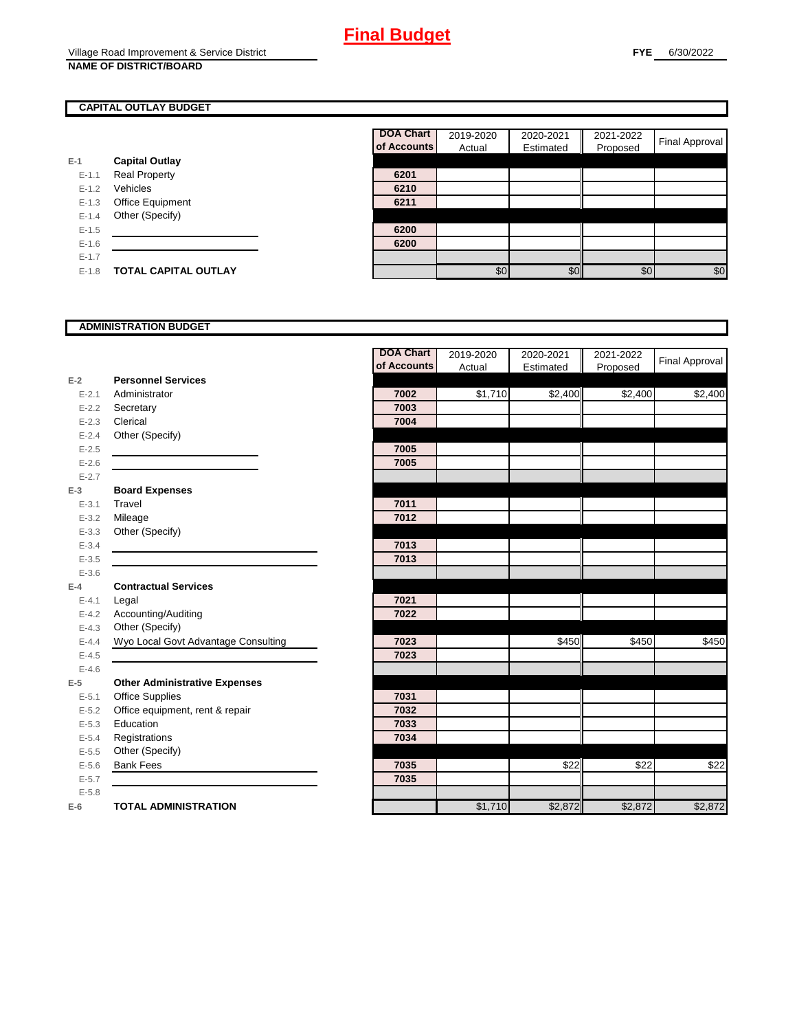### **CAPITAL OUTLAY BUDGET**

|           |                             | OT ACCOL |
|-----------|-----------------------------|----------|
| $E-1$     | <b>Capital Outlay</b>       |          |
| $E-1.1$   | <b>Real Property</b>        | 6201     |
| $E - 1.2$ | Vehicles                    | 6210     |
| $E-1.3$   | <b>Office Equipment</b>     | 6211     |
| $E - 1.4$ | Other (Specify)             |          |
| $E-1.5$   |                             | 6200     |
| $E-1.6$   |                             | 6200     |
| $E - 1.7$ |                             |          |
| $E-1.8$   | <b>TOTAL CAPITAL OUTLAY</b> |          |

| DOA Chart<br>of Accounts | 2019-2020<br>Actual | 2020-2021<br>Estimated | 2021-2022<br>Proposed | <b>Final Approval</b> |
|--------------------------|---------------------|------------------------|-----------------------|-----------------------|
|                          |                     |                        |                       |                       |
| 6201                     |                     |                        |                       |                       |
| 6210                     |                     |                        |                       |                       |
| 6211                     |                     |                        |                       |                       |
|                          |                     |                        |                       |                       |
| 6200                     |                     |                        |                       |                       |
| 6200                     |                     |                        |                       |                       |
|                          |                     |                        |                       |                       |
|                          | \$0                 | \$(                    | \$0                   | \$0                   |

### **ADMINISTRATION BUDGET**

|           |                                      | <b>DOA Chart</b> | 2019-2020 | 2020-2021 | 2021-2022 | Final Approval |
|-----------|--------------------------------------|------------------|-----------|-----------|-----------|----------------|
|           |                                      | of Accounts      | Actual    | Estimated | Proposed  |                |
| $E-2$     | <b>Personnel Services</b>            |                  |           |           |           |                |
| $E - 2.1$ | Administrator                        | 7002             | \$1,710   | \$2,400   | \$2,400   | \$2,400        |
| $E - 2.2$ | Secretary                            | 7003             |           |           |           |                |
| $E - 2.3$ | Clerical                             | 7004             |           |           |           |                |
| $E - 2.4$ | Other (Specify)                      |                  |           |           |           |                |
| $E - 2.5$ |                                      | 7005             |           |           |           |                |
| $E - 2.6$ |                                      | 7005             |           |           |           |                |
| $E - 2.7$ |                                      |                  |           |           |           |                |
| $E-3$     | <b>Board Expenses</b>                |                  |           |           |           |                |
| $E - 3.1$ | Travel                               | 7011             |           |           |           |                |
| $E - 3.2$ | Mileage                              | 7012             |           |           |           |                |
| $E - 3.3$ | Other (Specify)                      |                  |           |           |           |                |
| $E - 3.4$ |                                      | 7013             |           |           |           |                |
| $E - 3.5$ |                                      | 7013             |           |           |           |                |
| $E - 3.6$ |                                      |                  |           |           |           |                |
| $E-4$     | <b>Contractual Services</b>          |                  |           |           |           |                |
| $E - 4.1$ | Legal                                | 7021             |           |           |           |                |
| $E - 4.2$ | Accounting/Auditing                  | 7022             |           |           |           |                |
| $E - 4.3$ | Other (Specify)                      |                  |           |           |           |                |
| $E - 4.4$ | Wyo Local Govt Advantage Consulting  | 7023             |           | \$450     | \$450     | \$450          |
| $E-4.5$   |                                      | 7023             |           |           |           |                |
| $E - 4.6$ |                                      |                  |           |           |           |                |
| $E-5$     | <b>Other Administrative Expenses</b> |                  |           |           |           |                |
| $E - 5.1$ | <b>Office Supplies</b>               | 7031             |           |           |           |                |
| $E - 5.2$ | Office equipment, rent & repair      | 7032             |           |           |           |                |
| $E - 5.3$ | Education                            | 7033             |           |           |           |                |
| $E - 5.4$ | Registrations                        | 7034             |           |           |           |                |
| $E-5.5$   | Other (Specify)                      |                  |           |           |           |                |
| $E - 5.6$ | <b>Bank Fees</b>                     | 7035             |           | \$22      | \$22      | \$22           |
| $E - 5.7$ |                                      | 7035             |           |           |           |                |
| $E-5.8$   |                                      |                  |           |           |           |                |
| $E-6$     | <b>TOTAL ADMINISTRATION</b>          |                  | \$1,710   | \$2,872   | \$2,872   | \$2,872        |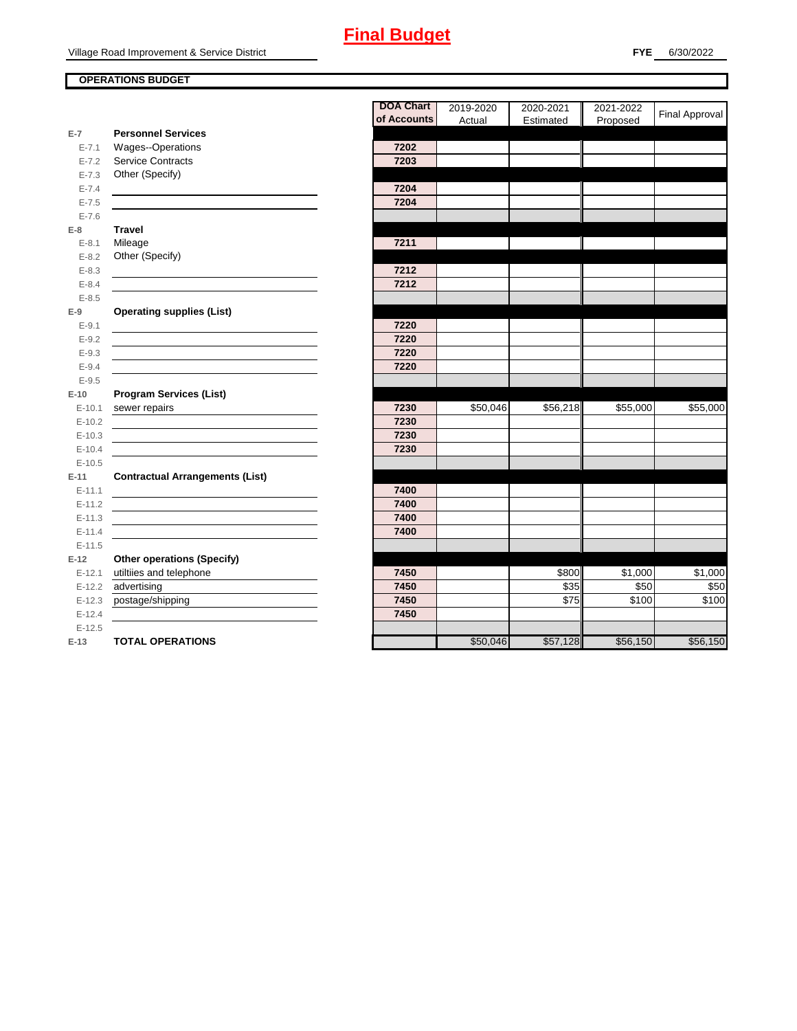### **OPERATIONS BUDGET**

|            |                                        | <b>DOA Chart</b><br>of Accounts | 2019-2020 | 2020-2021 | 2021-2022 | <b>Final Approval</b> |
|------------|----------------------------------------|---------------------------------|-----------|-----------|-----------|-----------------------|
| $E-7$      | <b>Personnel Services</b>              |                                 | Actual    | Estimated | Proposed  |                       |
| $E - 7.1$  | Wages--Operations                      | 7202                            |           |           |           |                       |
| $E - 7.2$  | <b>Service Contracts</b>               | 7203                            |           |           |           |                       |
| $E - 7.3$  | Other (Specify)                        |                                 |           |           |           |                       |
| $E - 7.4$  |                                        | 7204                            |           |           |           |                       |
| $E - 7.5$  |                                        | 7204                            |           |           |           |                       |
| $E - 7.6$  |                                        |                                 |           |           |           |                       |
| $E-8$      | <b>Travel</b>                          |                                 |           |           |           |                       |
| $E - 8.1$  | Mileage                                | 7211                            |           |           |           |                       |
| $E - 8.2$  | Other (Specify)                        |                                 |           |           |           |                       |
| $E - 8.3$  |                                        | 7212                            |           |           |           |                       |
| $E - 8.4$  |                                        | 7212                            |           |           |           |                       |
| $E - 8.5$  |                                        |                                 |           |           |           |                       |
| $E-9$      | <b>Operating supplies (List)</b>       |                                 |           |           |           |                       |
| $E - 9.1$  |                                        | 7220                            |           |           |           |                       |
| $E - 9.2$  |                                        | 7220                            |           |           |           |                       |
| $E - 9.3$  |                                        | 7220                            |           |           |           |                       |
| $E - 9.4$  |                                        | 7220                            |           |           |           |                       |
| $E - 9.5$  |                                        |                                 |           |           |           |                       |
| $E-10$     | <b>Program Services (List)</b>         |                                 |           |           |           |                       |
| $E-10.1$   | sewer repairs                          | 7230                            | \$50,046  | \$56,218  | \$55,000  | \$55,000              |
| $E-10.2$   |                                        | 7230                            |           |           |           |                       |
| $E-10.3$   |                                        | 7230                            |           |           |           |                       |
| $E-10.4$   |                                        | 7230                            |           |           |           |                       |
| $E-10.5$   |                                        |                                 |           |           |           |                       |
| $E-11$     | <b>Contractual Arrangements (List)</b> |                                 |           |           |           |                       |
| $E-11.1$   |                                        | 7400                            |           |           |           |                       |
| $E-11.2$   |                                        | 7400                            |           |           |           |                       |
| $E - 11.3$ |                                        | 7400                            |           |           |           |                       |
| $E-11.4$   |                                        | 7400                            |           |           |           |                       |
| $E-11.5$   |                                        |                                 |           |           |           |                       |
| $E-12$     | <b>Other operations (Specify)</b>      |                                 |           |           |           |                       |
| $E-12.1$   | utiltiies and telephone                | 7450                            |           | \$800     | \$1,000   | \$1,000               |
| $E-12.2$   | advertising                            | 7450                            |           | \$35      | \$50      | \$50                  |
| $E-12.3$   | postage/shipping                       | 7450                            |           | \$75      | \$100     | \$100                 |
| $E-12.4$   |                                        | 7450                            |           |           |           |                       |
| $E-12.5$   |                                        |                                 |           |           |           |                       |
| $E-13$     | <b>TOTAL OPERATIONS</b>                |                                 | \$50,046  | \$57,128  | \$56,150  | \$56,150              |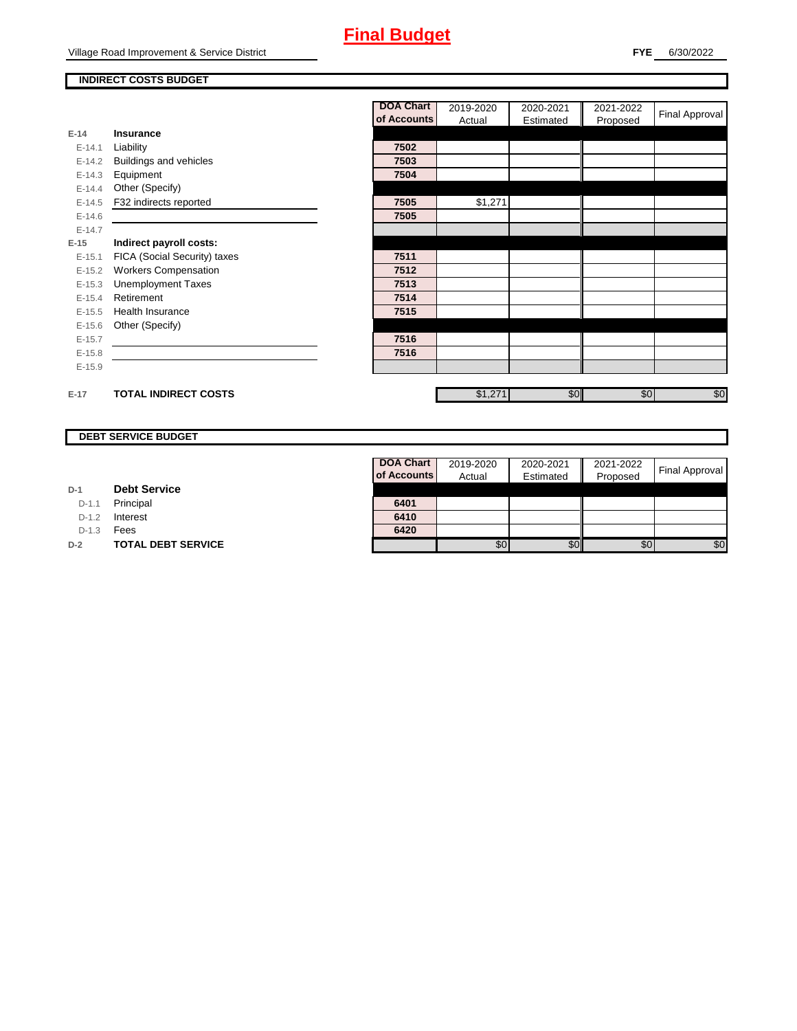### **INDIRECT COSTS BUDGET**

|          |                              | <b>DOA Chart</b> | 2019-2020 | 2020-2021 | 2021-2022 | Final Approval |
|----------|------------------------------|------------------|-----------|-----------|-----------|----------------|
|          |                              | of Accounts      | Actual    | Estimated | Proposed  |                |
| $E-14$   | Insurance                    |                  |           |           |           |                |
| $E-14.1$ | Liability                    | 7502             |           |           |           |                |
| $E-14.2$ | Buildings and vehicles       | 7503             |           |           |           |                |
| $E-14.3$ | Equipment                    | 7504             |           |           |           |                |
| $E-14.4$ | Other (Specify)              |                  |           |           |           |                |
| $E-14.5$ | F32 indirects reported       | 7505             | \$1,271   |           |           |                |
| $E-14.6$ |                              | 7505             |           |           |           |                |
| $E-14.7$ |                              |                  |           |           |           |                |
| $E-15$   | Indirect payroll costs:      |                  |           |           |           |                |
| $E-15.1$ | FICA (Social Security) taxes | 7511             |           |           |           |                |
| $E-15.2$ | <b>Workers Compensation</b>  | 7512             |           |           |           |                |
| $E-15.3$ | <b>Unemployment Taxes</b>    | 7513             |           |           |           |                |
| $E-15.4$ | Retirement                   | 7514             |           |           |           |                |
| $E-15.5$ | Health Insurance             | 7515             |           |           |           |                |
| $E-15.6$ | Other (Specify)              |                  |           |           |           |                |
| $E-15.7$ |                              | 7516             |           |           |           |                |
| $E-15.8$ |                              | 7516             |           |           |           |                |
| $E-15.9$ |                              |                  |           |           |           |                |
|          |                              |                  |           |           |           |                |
| $E-17$   | <b>TOTAL INDIRECT COSTS</b>  |                  | \$1,271   | \$0       | \$0       | \$0            |

### **DEBT SERVICE BUDGET**

| D-1 | <b>Debt Service</b> |  |
|-----|---------------------|--|
|     |                     |  |

D-1.1 **Principal** 

D-1.2 **Interest** 

D-1.3 **Fees** 

**D-2 TOTAL DEBT SERVICE** 

| DOA Chart   | 2019-2020 | 2020-2021 | 2021-2022 |                       |
|-------------|-----------|-----------|-----------|-----------------------|
| of Accounts | Actual    | Estimated | Proposed  | <b>Final Approval</b> |
|             |           |           |           |                       |
| 6401        |           |           |           |                       |
| 6410        |           |           |           |                       |
| 6420        |           |           |           |                       |
|             |           |           | \$0       |                       |